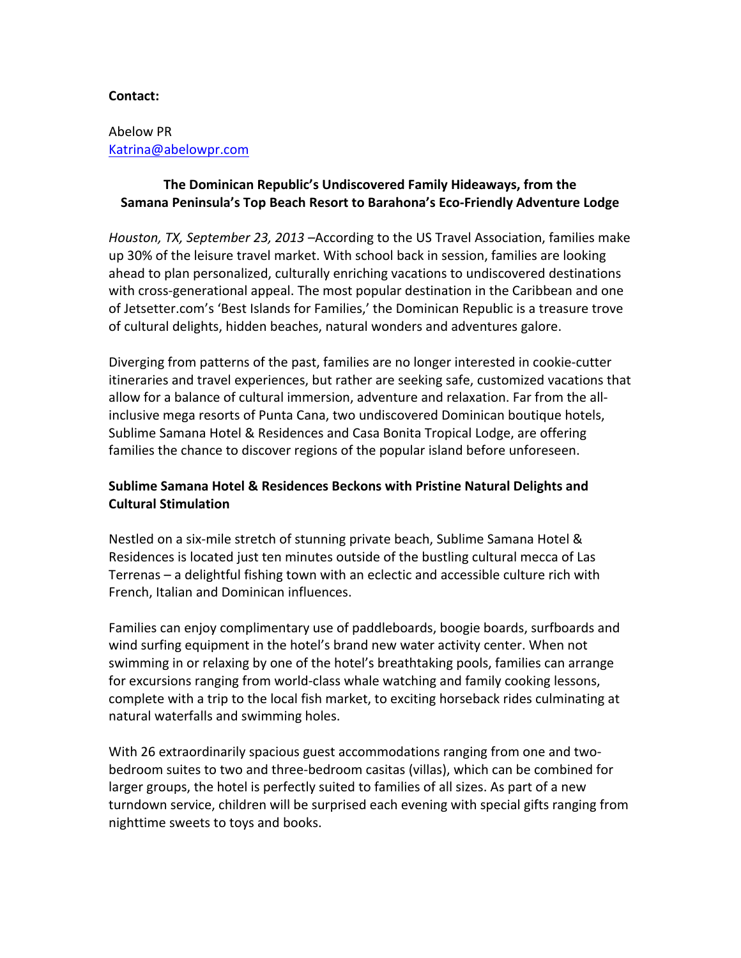#### **Contact:**

### Abelow PR Katrina@abelowpr.com

# The Dominican Republic's Undiscovered Family Hideaways, from the Samana Peninsula's Top Beach Resort to Barahona's Eco-Friendly Adventure Lodge

Houston, TX, September 23, 2013 –According to the US Travel Association, families make up 30% of the leisure travel market. With school back in session, families are looking ahead to plan personalized, culturally enriching vacations to undiscovered destinations with cross-generational appeal. The most popular destination in the Caribbean and one of Jetsetter.com's 'Best Islands for Families,' the Dominican Republic is a treasure trove of cultural delights, hidden beaches, natural wonders and adventures galore.

Diverging from patterns of the past, families are no longer interested in cookie-cutter itineraries and travel experiences, but rather are seeking safe, customized vacations that allow for a balance of cultural immersion, adventure and relaxation. Far from the allinclusive mega resorts of Punta Cana, two undiscovered Dominican boutique hotels, Sublime Samana Hotel & Residences and Casa Bonita Tropical Lodge, are offering families the chance to discover regions of the popular island before unforeseen.

# **Sublime Samana Hotel & Residences Beckons with Pristine Natural Delights and Cultural Stimulation**

Nestled on a six-mile stretch of stunning private beach, Sublime Samana Hotel & Residences is located just ten minutes outside of the bustling cultural mecca of Las Terrenas – a delightful fishing town with an eclectic and accessible culture rich with French, Italian and Dominican influences.

Families can enjoy complimentary use of paddleboards, boogie boards, surfboards and wind surfing equipment in the hotel's brand new water activity center. When not swimming in or relaxing by one of the hotel's breathtaking pools, families can arrange for excursions ranging from world-class whale watching and family cooking lessons, complete with a trip to the local fish market, to exciting horseback rides culminating at natural waterfalls and swimming holes.

With 26 extraordinarily spacious guest accommodations ranging from one and twobedroom suites to two and three-bedroom casitas (villas), which can be combined for larger groups, the hotel is perfectly suited to families of all sizes. As part of a new turndown service, children will be surprised each evening with special gifts ranging from nighttime sweets to toys and books.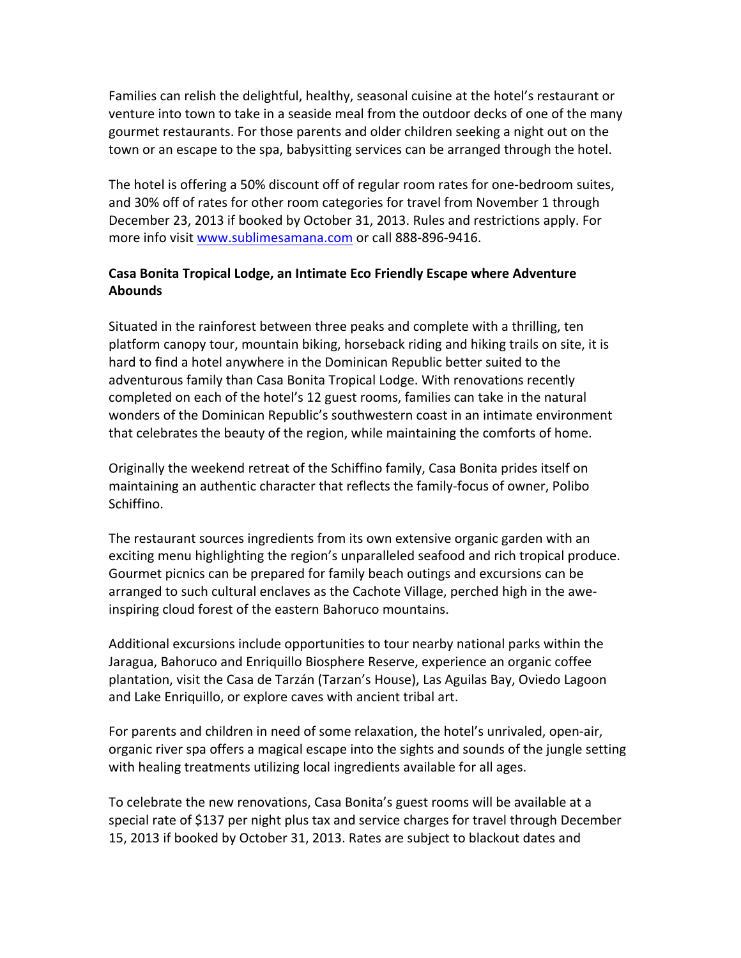Families can relish the delightful, healthy, seasonal cuisine at the hotel's restaurant or venture into town to take in a seaside meal from the outdoor decks of one of the many gourmet restaurants. For those parents and older children seeking a night out on the town or an escape to the spa, babysitting services can be arranged through the hotel.

The hotel is offering a 50% discount off of regular room rates for one-bedroom suites, and 30% off of rates for other room categories for travel from November 1 through December 23, 2013 if booked by October 31, 2013. Rules and restrictions apply. For more info visit www.sublimesamana.com or call 888-896-9416.

# **Casa Bonita Tropical Lodge, an Intimate Eco Friendly Escape where Adventure Abounds**

Situated in the rainforest between three peaks and complete with a thrilling, ten platform canopy tour, mountain biking, horseback riding and hiking trails on site, it is hard to find a hotel anywhere in the Dominican Republic better suited to the adventurous family than Casa Bonita Tropical Lodge. With renovations recently completed on each of the hotel's 12 guest rooms, families can take in the natural wonders of the Dominican Republic's southwestern coast in an intimate environment that celebrates the beauty of the region, while maintaining the comforts of home.

Originally the weekend retreat of the Schiffino family, Casa Bonita prides itself on maintaining an authentic character that reflects the family-focus of owner, Polibo Schiffino.

The restaurant sources ingredients from its own extensive organic garden with an exciting menu highlighting the region's unparalleled seafood and rich tropical produce. Gourmet picnics can be prepared for family beach outings and excursions can be arranged to such cultural enclaves as the Cachote Village, perched high in the aweinspiring cloud forest of the eastern Bahoruco mountains.

Additional excursions include opportunities to tour nearby national parks within the Jaragua, Bahoruco and Enriquillo Biosphere Reserve, experience an organic coffee plantation, visit the Casa de Tarzán (Tarzan's House), Las Aguilas Bay, Oviedo Lagoon and Lake Enriquillo, or explore caves with ancient tribal art.

For parents and children in need of some relaxation, the hotel's unrivaled, open-air, organic river spa offers a magical escape into the sights and sounds of the jungle setting with healing treatments utilizing local ingredients available for all ages.

To celebrate the new renovations, Casa Bonita's guest rooms will be available at a special rate of \$137 per night plus tax and service charges for travel through December 15, 2013 if booked by October 31, 2013. Rates are subject to blackout dates and